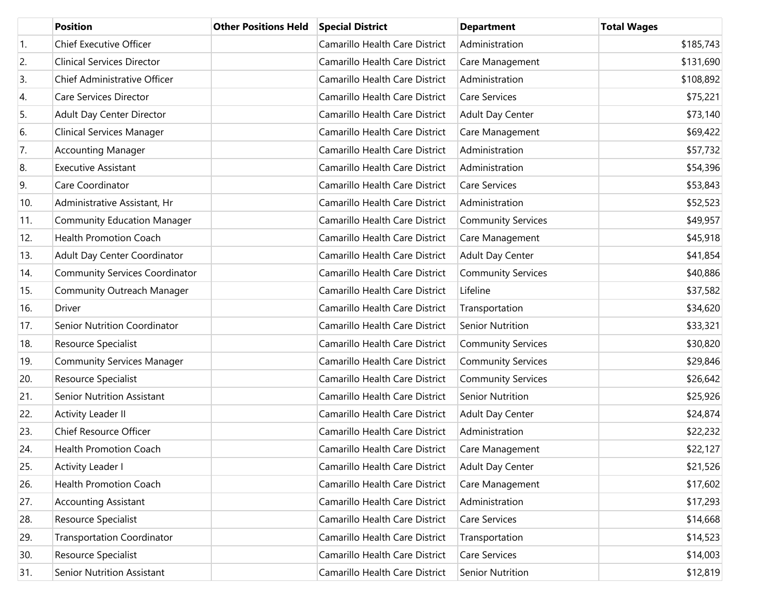|     | <b>Position</b>                       | <b>Other Positions Held</b> | <b>Special District</b>        | <b>Department</b>         | <b>Total Wages</b> |
|-----|---------------------------------------|-----------------------------|--------------------------------|---------------------------|--------------------|
| 1.  | <b>Chief Executive Officer</b>        |                             | Camarillo Health Care District | Administration            | \$185,743          |
| 2.  | <b>Clinical Services Director</b>     |                             | Camarillo Health Care District | Care Management           | \$131,690          |
| 3.  | Chief Administrative Officer          |                             | Camarillo Health Care District | Administration            | \$108,892          |
| 4.  | Care Services Director                |                             | Camarillo Health Care District | <b>Care Services</b>      | \$75,221           |
| 5.  | Adult Day Center Director             |                             | Camarillo Health Care District | <b>Adult Day Center</b>   | \$73,140           |
| 6.  | <b>Clinical Services Manager</b>      |                             | Camarillo Health Care District | Care Management           | \$69,422           |
| 7.  | <b>Accounting Manager</b>             |                             | Camarillo Health Care District | Administration            | \$57,732           |
| 8.  | <b>Executive Assistant</b>            |                             | Camarillo Health Care District | Administration            | \$54,396           |
| 9.  | Care Coordinator                      |                             | Camarillo Health Care District | <b>Care Services</b>      | \$53,843           |
| 10. | Administrative Assistant, Hr          |                             | Camarillo Health Care District | Administration            | \$52,523           |
| 11. | <b>Community Education Manager</b>    |                             | Camarillo Health Care District | <b>Community Services</b> | \$49,957           |
| 12. | <b>Health Promotion Coach</b>         |                             | Camarillo Health Care District | Care Management           | \$45,918           |
| 13. | Adult Day Center Coordinator          |                             | Camarillo Health Care District | Adult Day Center          | \$41,854           |
| 14. | <b>Community Services Coordinator</b> |                             | Camarillo Health Care District | <b>Community Services</b> | \$40,886           |
| 15. | <b>Community Outreach Manager</b>     |                             | Camarillo Health Care District | Lifeline                  | \$37,582           |
| 16. | Driver                                |                             | Camarillo Health Care District | Transportation            | \$34,620           |
| 17. | Senior Nutrition Coordinator          |                             | Camarillo Health Care District | <b>Senior Nutrition</b>   | \$33,321           |
| 18. | Resource Specialist                   |                             | Camarillo Health Care District | <b>Community Services</b> | \$30,820           |
| 19. | <b>Community Services Manager</b>     |                             | Camarillo Health Care District | <b>Community Services</b> | \$29,846           |
| 20. | Resource Specialist                   |                             | Camarillo Health Care District | <b>Community Services</b> | \$26,642           |
| 21. | <b>Senior Nutrition Assistant</b>     |                             | Camarillo Health Care District | <b>Senior Nutrition</b>   | \$25,926           |
| 22. | Activity Leader II                    |                             | Camarillo Health Care District | <b>Adult Day Center</b>   | \$24,874           |
| 23. | Chief Resource Officer                |                             | Camarillo Health Care District | Administration            | \$22,232           |
| 24. | Health Promotion Coach                |                             | Camarillo Health Care District | Care Management           | \$22,127           |
| 25. | Activity Leader I                     |                             | Camarillo Health Care District | Adult Day Center          | \$21,526           |
| 26. | Health Promotion Coach                |                             | Camarillo Health Care District | Care Management           | \$17,602           |
| 27. | <b>Accounting Assistant</b>           |                             | Camarillo Health Care District | Administration            | \$17,293           |
| 28. | Resource Specialist                   |                             | Camarillo Health Care District | Care Services             | \$14,668           |
| 29. | <b>Transportation Coordinator</b>     |                             | Camarillo Health Care District | Transportation            | \$14,523           |
| 30. | Resource Specialist                   |                             | Camarillo Health Care District | Care Services             | \$14,003           |
| 31. | <b>Senior Nutrition Assistant</b>     |                             | Camarillo Health Care District | Senior Nutrition          | \$12,819           |